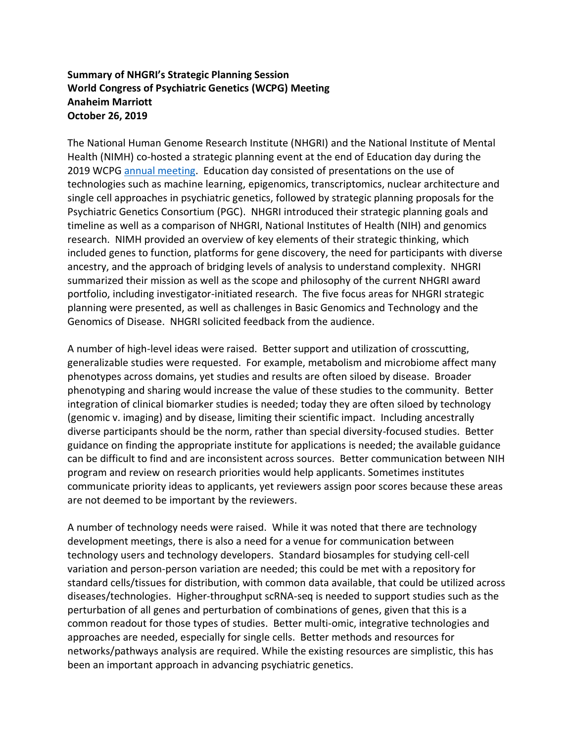## **Summary of NHGRI's Strategic Planning Session World Congress of Psychiatric Genetics (WCPG) Meeting Anaheim Marriott October 26, 2019**

The National Human Genome Research Institute (NHGRI) and the National Institute of Mental Health (NIMH) co-hosted a strategic planning event at the end of Education day during the 2019 WCPG [annual meeting.](https://ispg.net/annual-world-congress/general-information/) Education day consisted of presentations on the use of technologies such as machine learning, epigenomics, transcriptomics, nuclear architecture and single cell approaches in psychiatric genetics, followed by strategic planning proposals for the Psychiatric Genetics Consortium (PGC). NHGRI introduced their strategic planning goals and timeline as well as a comparison of NHGRI, National Institutes of Health (NIH) and genomics research. NIMH provided an overview of key elements of their strategic thinking, which included genes to function, platforms for gene discovery, the need for participants with diverse ancestry, and the approach of bridging levels of analysis to understand complexity. NHGRI summarized their mission as well as the scope and philosophy of the current NHGRI award portfolio, including investigator-initiated research. The five focus areas for NHGRI strategic planning were presented, as well as challenges in Basic Genomics and Technology and the Genomics of Disease. NHGRI solicited feedback from the audience.

A number of high-level ideas were raised. Better support and utilization of crosscutting, generalizable studies were requested. For example, metabolism and microbiome affect many phenotypes across domains, yet studies and results are often siloed by disease. Broader phenotyping and sharing would increase the value of these studies to the community. Better integration of clinical biomarker studies is needed; today they are often siloed by technology (genomic v. imaging) and by disease, limiting their scientific impact. Including ancestrally diverse participants should be the norm, rather than special diversity-focused studies. Better guidance on finding the appropriate institute for applications is needed; the available guidance can be difficult to find and are inconsistent across sources. Better communication between NIH program and review on research priorities would help applicants. Sometimes institutes communicate priority ideas to applicants, yet reviewers assign poor scores because these areas are not deemed to be important by the reviewers.

A number of technology needs were raised. While it was noted that there are technology development meetings, there is also a need for a venue for communication between technology users and technology developers. Standard biosamples for studying cell-cell variation and person-person variation are needed; this could be met with a repository for standard cells/tissues for distribution, with common data available, that could be utilized across diseases/technologies. Higher-throughput scRNA-seq is needed to support studies such as the perturbation of all genes and perturbation of combinations of genes, given that this is a common readout for those types of studies. Better multi-omic, integrative technologies and approaches are needed, especially for single cells. Better methods and resources for networks/pathways analysis are required. While the existing resources are simplistic, this has been an important approach in advancing psychiatric genetics.